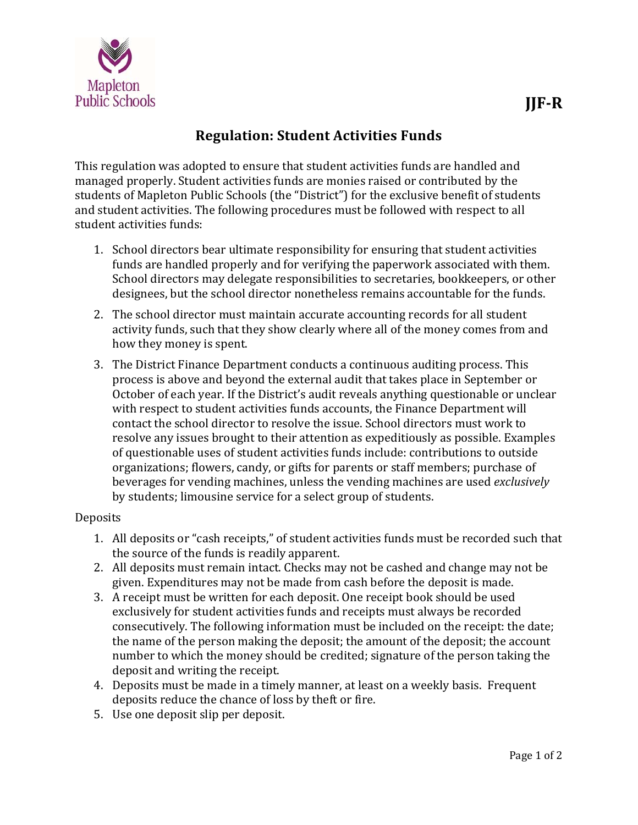

This regulation was adopted to ensure that student activities funds are handled and managed properly. Student activities funds are monies raised or contributed by the students of Mapleton Public Schools (the "District") for the exclusive benefit of students and student activities. The following procedures must be followed with respect to all student activities funds:

- 1. School directors bear ultimate responsibility for ensuring that student activities funds are handled properly and for verifying the paperwork associated with them. School directors may delegate responsibilities to secretaries, bookkeepers, or other designees, but the school director nonetheless remains accountable for the funds.
- 2. The school director must maintain accurate accounting records for all student activity funds, such that they show clearly where all of the money comes from and how they money is spent.
- 3. The District Finance Department conducts a continuous auditing process. This process is above and beyond the external audit that takes place in September or October of each year. If the District's audit reveals anything questionable or unclear with respect to student activities funds accounts, the Finance Department will contact the school director to resolve the issue. School directors must work to resolve any issues brought to their attention as expeditiously as possible. Examples of questionable uses of student activities funds include: contributions to outside organizations; flowers, candy, or gifts for parents or staff members; purchase of beverages for vending machines, unless the vending machines are used *exclusively* by students; limousine service for a select group of students.

## **Deposits**

- 1. All deposits or "cash receipts," of student activities funds must be recorded such that the source of the funds is readily apparent.
- 2. All deposits must remain intact. Checks may not be cashed and change may not be given. Expenditures may not be made from cash before the deposit is made.
- 3. A receipt must be written for each deposit. One receipt book should be used exclusively for student activities funds and receipts must always be recorded consecutively. The following information must be included on the receipt: the date; the name of the person making the deposit; the amount of the deposit; the account number to which the money should be credited; signature of the person taking the deposit and writing the receipt.
- 4. Deposits must be made in a timely manner, at least on a weekly basis. Frequent deposits reduce the chance of loss by theft or fire.
- 5. Use one deposit slip per deposit.